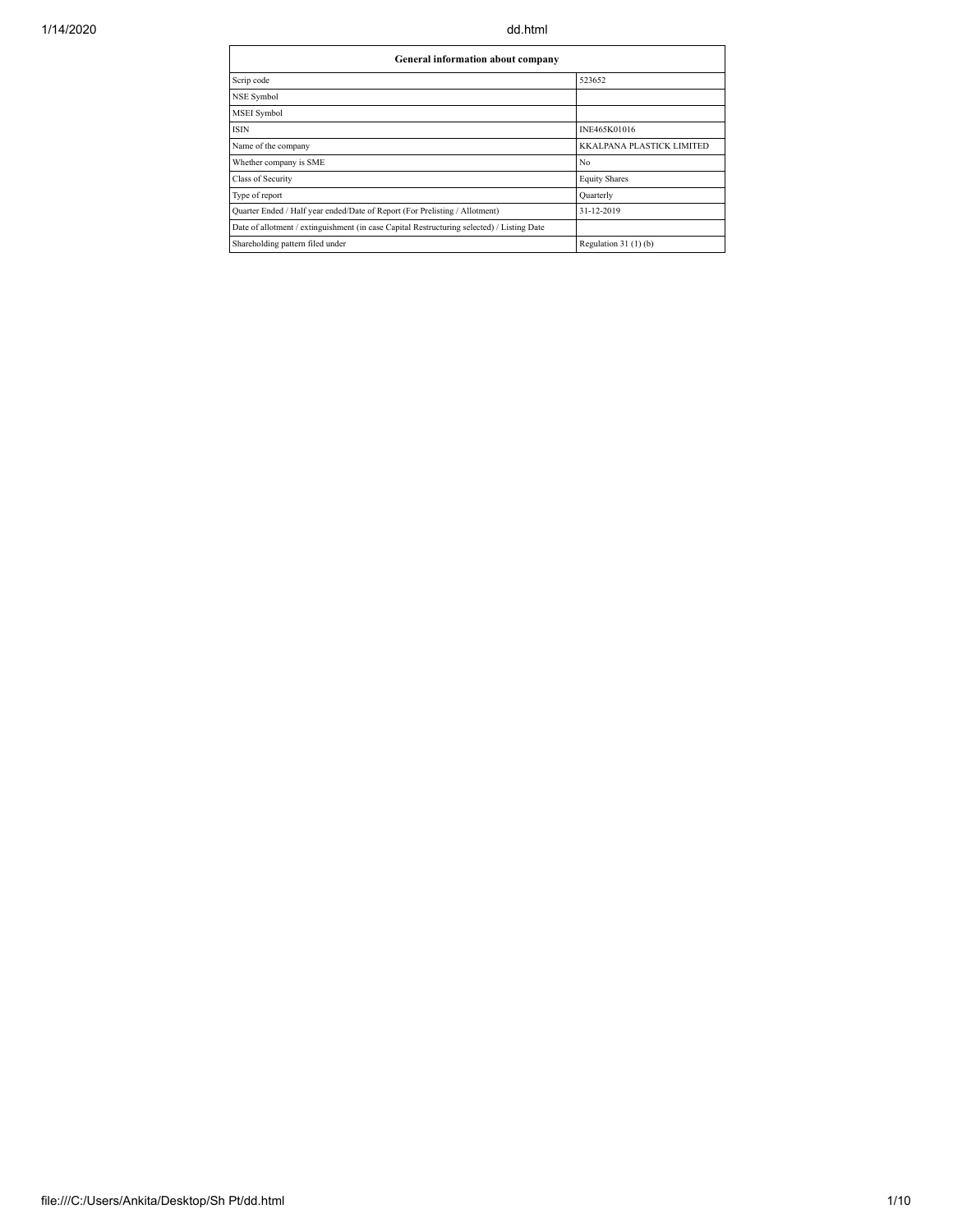| General information about company                                                          |                           |  |  |  |  |  |  |  |  |  |  |
|--------------------------------------------------------------------------------------------|---------------------------|--|--|--|--|--|--|--|--|--|--|
| Scrip code                                                                                 | 523652                    |  |  |  |  |  |  |  |  |  |  |
| NSE Symbol                                                                                 |                           |  |  |  |  |  |  |  |  |  |  |
| MSEI Symbol                                                                                |                           |  |  |  |  |  |  |  |  |  |  |
| <b>ISIN</b>                                                                                | INE465K01016              |  |  |  |  |  |  |  |  |  |  |
| Name of the company                                                                        | KKALPANA PLASTICK LIMITED |  |  |  |  |  |  |  |  |  |  |
| Whether company is SME                                                                     | No                        |  |  |  |  |  |  |  |  |  |  |
| Class of Security                                                                          | <b>Equity Shares</b>      |  |  |  |  |  |  |  |  |  |  |
| Type of report                                                                             | Quarterly                 |  |  |  |  |  |  |  |  |  |  |
| Quarter Ended / Half year ended/Date of Report (For Prelisting / Allotment)                | 31-12-2019                |  |  |  |  |  |  |  |  |  |  |
| Date of allotment / extinguishment (in case Capital Restructuring selected) / Listing Date |                           |  |  |  |  |  |  |  |  |  |  |
| Shareholding pattern filed under                                                           | Regulation $31(1)(b)$     |  |  |  |  |  |  |  |  |  |  |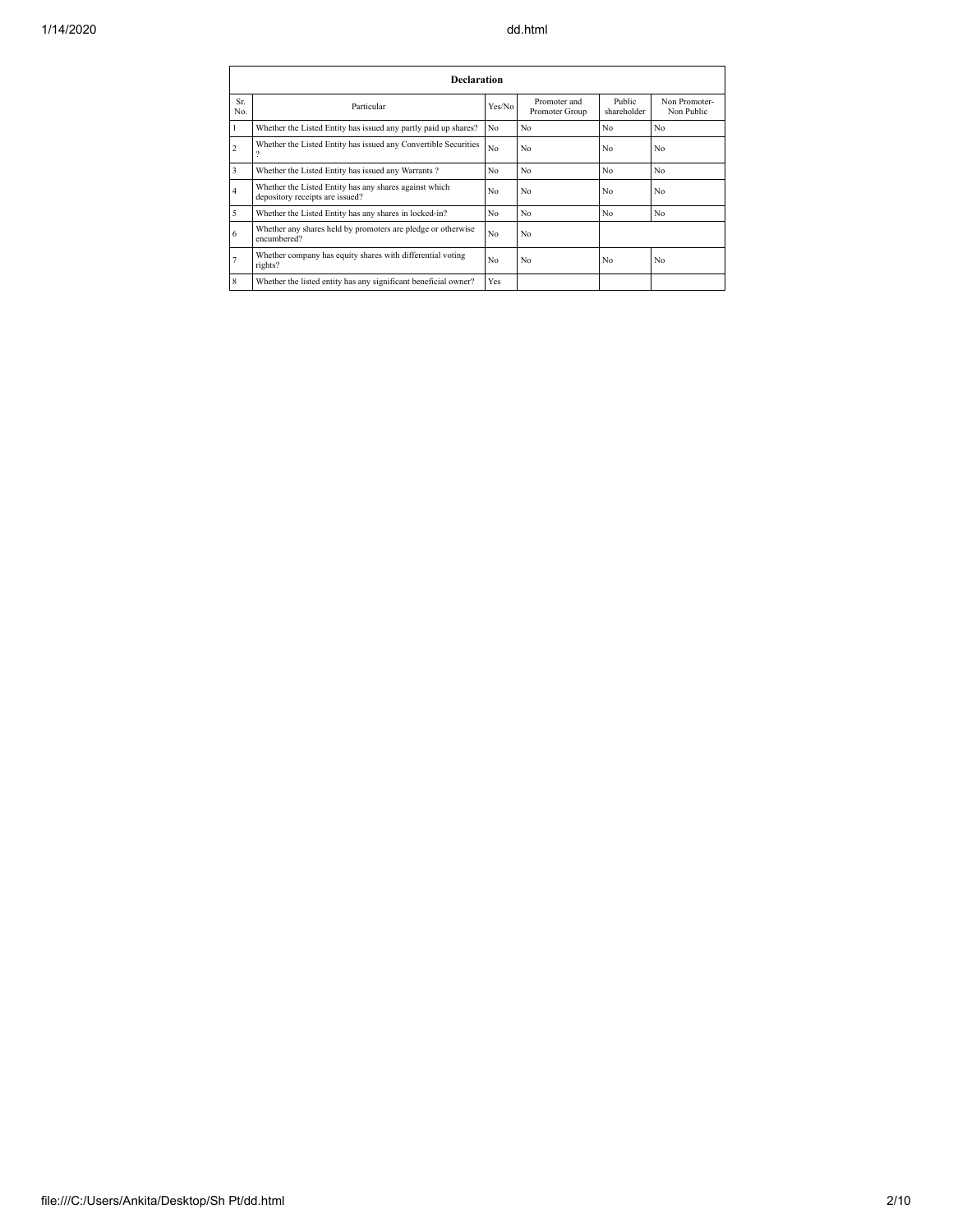|                | <b>Declaration</b>                                                                        |                |                                |                       |                             |  |  |  |  |  |  |  |  |  |
|----------------|-------------------------------------------------------------------------------------------|----------------|--------------------------------|-----------------------|-----------------------------|--|--|--|--|--|--|--|--|--|
| Sr.<br>No.     | Particular                                                                                | Yes/No         | Promoter and<br>Promoter Group | Public<br>shareholder | Non Promoter-<br>Non Public |  |  |  |  |  |  |  |  |  |
| 1              | Whether the Listed Entity has issued any partly paid up shares?                           | N <sub>0</sub> | No                             | No                    | No                          |  |  |  |  |  |  |  |  |  |
| $\overline{c}$ | Whether the Listed Entity has issued any Convertible Securities<br>9                      | No             | No                             | No                    | No                          |  |  |  |  |  |  |  |  |  |
| 3              | Whether the Listed Entity has issued any Warrants?                                        | N <sub>0</sub> | No                             | N <sub>0</sub>        | N <sub>0</sub>              |  |  |  |  |  |  |  |  |  |
| 4              | Whether the Listed Entity has any shares against which<br>depository receipts are issued? | No             | N <sub>0</sub>                 | No                    | No                          |  |  |  |  |  |  |  |  |  |
| 5              | Whether the Listed Entity has any shares in locked-in?                                    | N <sub>0</sub> | No                             | N <sub>0</sub>        | No                          |  |  |  |  |  |  |  |  |  |
| 6              | Whether any shares held by promoters are pledge or otherwise<br>encumbered?               | N <sub>0</sub> | No                             |                       |                             |  |  |  |  |  |  |  |  |  |
| 7              | Whether company has equity shares with differential voting<br>rights?                     | N <sub>0</sub> | No                             | No                    | No                          |  |  |  |  |  |  |  |  |  |
| 8              | Whether the listed entity has any significant beneficial owner?                           | Yes            |                                |                       |                             |  |  |  |  |  |  |  |  |  |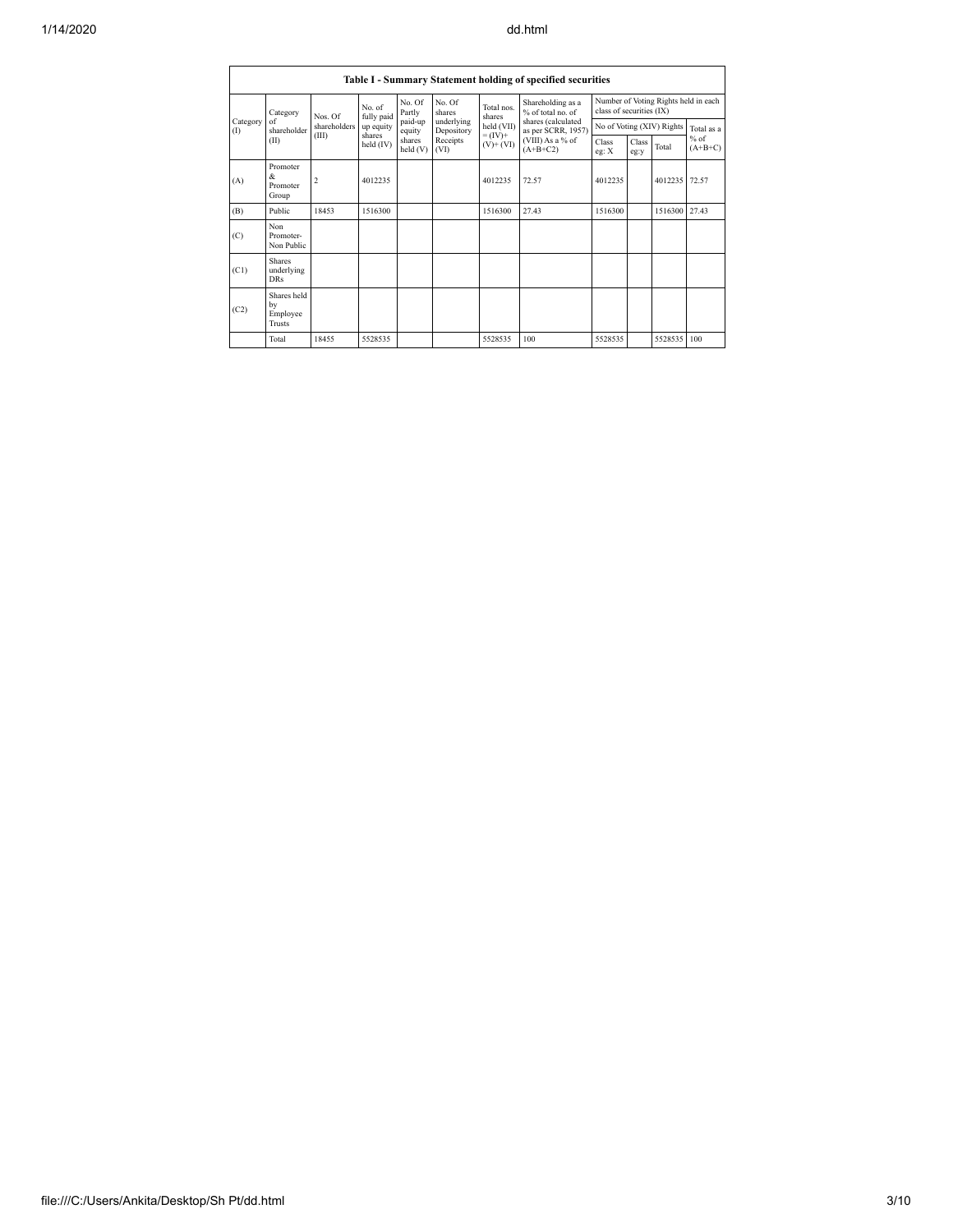|                 | Table I - Summary Statement holding of specified securities |                |                      |                   |                                                                  |                                               |                                                                            |                           |                                      |         |                                   |  |  |  |
|-----------------|-------------------------------------------------------------|----------------|----------------------|-------------------|------------------------------------------------------------------|-----------------------------------------------|----------------------------------------------------------------------------|---------------------------|--------------------------------------|---------|-----------------------------------|--|--|--|
|                 | Category<br>of<br>shareholder<br>(II)                       | Nos. Of        | No. of<br>fully paid | No. Of<br>Partly  | No. Of<br>shares<br>underlying<br>Depository<br>Receipts<br>(VI) | Total nos.<br>shares                          | Shareholding as a<br>% of total no. of                                     | class of securities (IX)  | Number of Voting Rights held in each |         |                                   |  |  |  |
| Category<br>(1) |                                                             | shareholders   | up equity            | paid-up<br>equity |                                                                  | held (VII)<br>$= (\text{IV})^+$<br>$(V)+(VI)$ | shares (calculated<br>as per SCRR, 1957)<br>(VIII) As a % of<br>$(A+B+C2)$ | No of Voting (XIV) Rights |                                      |         | Total as a<br>$%$ of<br>$(A+B+C)$ |  |  |  |
|                 |                                                             | (III)          | shares<br>held (IV)  | shares<br>held(V) |                                                                  |                                               |                                                                            | Class<br>eg: $X$          | Class<br>eg:y                        | Total   |                                   |  |  |  |
| (A)             | Promoter<br>&<br>Promoter<br>Group                          | $\overline{c}$ | 4012235              |                   |                                                                  | 4012235                                       | 72.57                                                                      | 4012235                   |                                      | 4012235 | 72.57                             |  |  |  |
| (B)             | Public                                                      | 18453          | 1516300              |                   |                                                                  | 1516300                                       | 27.43                                                                      | 1516300                   |                                      | 1516300 | 27.43                             |  |  |  |
| (C)             | Non<br>Promoter-<br>Non Public                              |                |                      |                   |                                                                  |                                               |                                                                            |                           |                                      |         |                                   |  |  |  |
| (C1)            | <b>Shares</b><br>underlying<br><b>DRs</b>                   |                |                      |                   |                                                                  |                                               |                                                                            |                           |                                      |         |                                   |  |  |  |
| (C2)            | Shares held<br>by<br>Employee<br><b>Trusts</b>              |                |                      |                   |                                                                  |                                               |                                                                            |                           |                                      |         |                                   |  |  |  |
|                 | Total                                                       | 18455          | 5528535              |                   |                                                                  | 5528535                                       | 100                                                                        | 5528535                   |                                      | 5528535 | 100                               |  |  |  |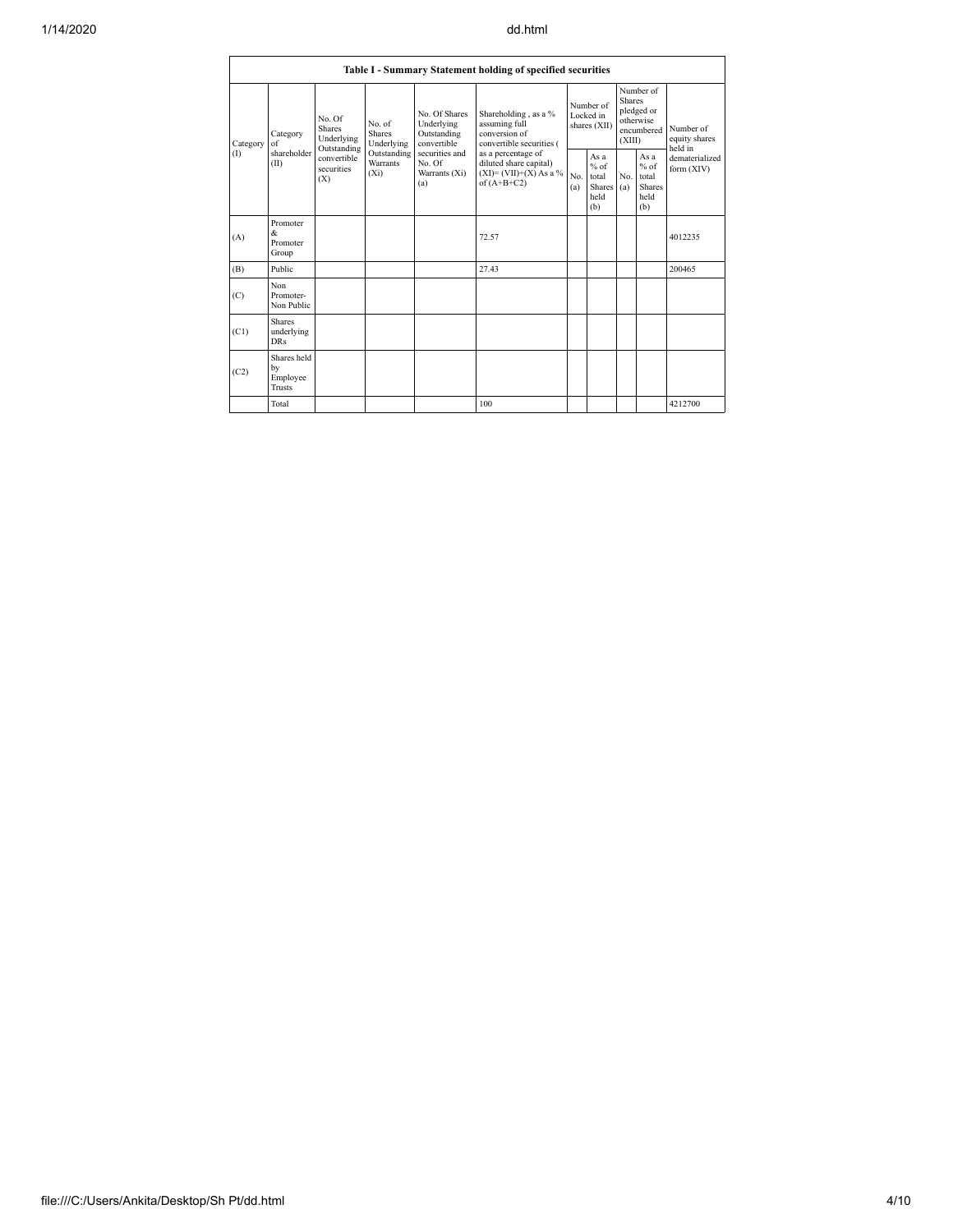| Table I - Summary Statement holding of specified securities |                                           |                                                      |                                           |                                                           |                                                                                                                                                                                |            |                                                         |                         |                                                         |                                                                         |  |  |  |
|-------------------------------------------------------------|-------------------------------------------|------------------------------------------------------|-------------------------------------------|-----------------------------------------------------------|--------------------------------------------------------------------------------------------------------------------------------------------------------------------------------|------------|---------------------------------------------------------|-------------------------|---------------------------------------------------------|-------------------------------------------------------------------------|--|--|--|
| Category<br>(1)                                             | Category<br>of<br>shareholder<br>(II)     | No. Of<br><b>Shares</b><br>Underlying<br>Outstanding | No. of<br><b>Shares</b><br>Underlying     | No. Of Shares<br>Underlying<br>Outstanding<br>convertible | Shareholding, as a %<br>assuming full<br>conversion of<br>convertible securities (<br>as a percentage of<br>diluted share capital)<br>$(XI)=(VII)+(X) As a %$<br>of $(A+B+C2)$ |            | Number of<br>Locked in<br>shares (XII)                  | <b>Shares</b><br>(XIII) | Number of<br>pledged or<br>otherwise<br>encumbered      | Number of<br>equity shares<br>held in<br>dematerialized<br>form $(XIV)$ |  |  |  |
|                                                             |                                           | convertible<br>securities<br>(X)                     | Outstanding<br><b>Warrants</b><br>$(X_i)$ | securities and<br>No. Of<br>Warrants (Xi)<br>(a)          |                                                                                                                                                                                | No.<br>(a) | As a<br>$%$ of<br>total<br><b>Shares</b><br>held<br>(b) | No.<br>(a)              | As a<br>$%$ of<br>total<br><b>Shares</b><br>held<br>(b) |                                                                         |  |  |  |
| (A)                                                         | Promoter<br>&<br>Promoter<br>Group        |                                                      |                                           |                                                           | 72.57                                                                                                                                                                          |            |                                                         |                         |                                                         | 4012235                                                                 |  |  |  |
| (B)                                                         | Public                                    |                                                      |                                           |                                                           | 27.43                                                                                                                                                                          |            |                                                         |                         |                                                         | 200465                                                                  |  |  |  |
| (C)                                                         | Non<br>Promoter-<br>Non Public            |                                                      |                                           |                                                           |                                                                                                                                                                                |            |                                                         |                         |                                                         |                                                                         |  |  |  |
| (C1)                                                        | <b>Shares</b><br>underlying<br><b>DRs</b> |                                                      |                                           |                                                           |                                                                                                                                                                                |            |                                                         |                         |                                                         |                                                                         |  |  |  |
| (C2)                                                        | Shares held<br>by<br>Employee<br>Trusts   |                                                      |                                           |                                                           |                                                                                                                                                                                |            |                                                         |                         |                                                         |                                                                         |  |  |  |
|                                                             | Total                                     |                                                      |                                           |                                                           | 100                                                                                                                                                                            |            |                                                         |                         |                                                         | 4212700                                                                 |  |  |  |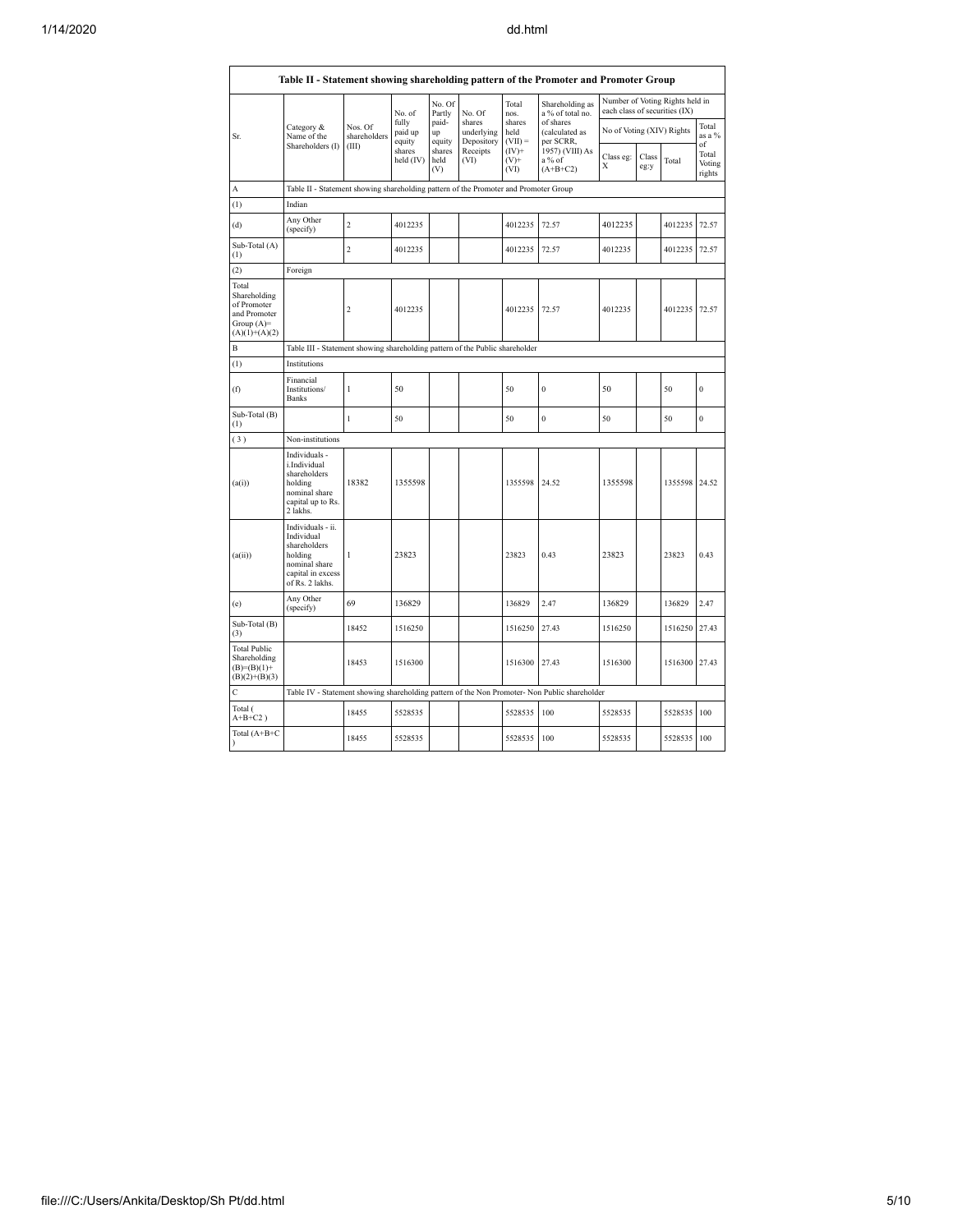|                                                                                         | Table II - Statement showing shareholding pattern of the Promoter and Promoter Group                                |                         |                            |                       |                                    |                             |                                                                                               |                                                                  |               |               |                                 |  |  |  |
|-----------------------------------------------------------------------------------------|---------------------------------------------------------------------------------------------------------------------|-------------------------|----------------------------|-----------------------|------------------------------------|-----------------------------|-----------------------------------------------------------------------------------------------|------------------------------------------------------------------|---------------|---------------|---------------------------------|--|--|--|
|                                                                                         |                                                                                                                     |                         | No. of                     | No. Of<br>Partly      | No. Of                             | Total<br>nos.               | Shareholding as<br>a % of total no.                                                           | Number of Voting Rights held in<br>each class of securities (IX) |               |               |                                 |  |  |  |
| Sr.                                                                                     | Category &<br>Name of the                                                                                           | Nos. Of<br>shareholders | fully<br>paid up<br>equity | paid-<br>up<br>equity | shares<br>underlying<br>Depository | shares<br>held<br>$(VII) =$ | of shares<br>(calculated as<br>per SCRR,                                                      | No of Voting (XIV) Rights                                        |               |               | Total<br>as a %                 |  |  |  |
|                                                                                         | Shareholders (I)                                                                                                    | (III)                   | shares<br>held (IV)        | shares<br>held<br>(V) | Receipts<br>(VI)                   | $(IV)+$<br>$(V)$ +<br>(VI)  | 1957) (VIII) As<br>a % of<br>$(A+B+C2)$                                                       | Class eg:<br>X                                                   | Class<br>eg:y | Total         | of<br>Total<br>Voting<br>rights |  |  |  |
| А                                                                                       | Table II - Statement showing shareholding pattern of the Promoter and Promoter Group                                |                         |                            |                       |                                    |                             |                                                                                               |                                                                  |               |               |                                 |  |  |  |
| (1)                                                                                     | Indian                                                                                                              |                         |                            |                       |                                    |                             |                                                                                               |                                                                  |               |               |                                 |  |  |  |
| (d)                                                                                     | Any Other<br>(specify)                                                                                              | $\overline{2}$          | 4012235                    |                       |                                    | 4012235                     | 72.57                                                                                         | 4012235                                                          |               | 4012235       | 72.57                           |  |  |  |
| Sub-Total (A)<br>$^{(1)}$                                                               |                                                                                                                     | $\overline{2}$          | 4012235                    |                       |                                    | 4012235                     | 72.57                                                                                         | 4012235                                                          |               | 4012235       | 72.57                           |  |  |  |
| (2)                                                                                     | Foreign                                                                                                             |                         |                            |                       |                                    |                             |                                                                                               |                                                                  |               |               |                                 |  |  |  |
| Total<br>Shareholding<br>of Promoter<br>and Promoter<br>Group $(A)=$<br>$(A)(1)+(A)(2)$ |                                                                                                                     | $\overline{\mathbf{c}}$ | 4012235                    |                       |                                    | 4012235                     | 72.57                                                                                         | 4012235                                                          |               | 4012235       | 72.57                           |  |  |  |
| B                                                                                       | Table III - Statement showing shareholding pattern of the Public shareholder                                        |                         |                            |                       |                                    |                             |                                                                                               |                                                                  |               |               |                                 |  |  |  |
| $\left(1\right)$                                                                        | Institutions                                                                                                        |                         |                            |                       |                                    |                             |                                                                                               |                                                                  |               |               |                                 |  |  |  |
| (f)                                                                                     | Financial<br>Institutions/<br>Banks                                                                                 | 1                       | 50                         |                       |                                    | 50                          | $\boldsymbol{0}$                                                                              | 50                                                               |               | 50            | $\mathbf{0}$                    |  |  |  |
| Sub-Total (B)<br>(1)                                                                    |                                                                                                                     | $\mathbf{1}$            | 50                         |                       |                                    | 50                          | $\overline{0}$                                                                                | 50                                                               |               | 50            | $\mathbf{0}$                    |  |  |  |
| (3)                                                                                     | Non-institutions                                                                                                    |                         |                            |                       |                                    |                             |                                                                                               |                                                                  |               |               |                                 |  |  |  |
| (a(i))                                                                                  | Individuals -<br>i.Individual<br>shareholders<br>holding<br>nominal share<br>capital up to Rs.<br>2 lakhs.          | 18382                   | 1355598                    |                       |                                    | 1355598                     | 24.52                                                                                         | 1355598                                                          |               | 1355598       | 24.52                           |  |  |  |
| (a(ii))                                                                                 | Individuals - ii.<br>Individual<br>shareholders<br>holding<br>nominal share<br>capital in excess<br>of Rs. 2 lakhs. | 1                       | 23823                      |                       |                                    | 23823                       | 0.43                                                                                          | 23823                                                            |               | 23823         | 0.43                            |  |  |  |
| (e)                                                                                     | Any Other<br>(specify)                                                                                              | 69                      | 136829                     |                       |                                    | 136829                      | 2.47                                                                                          | 136829                                                           |               | 136829        | 2.47                            |  |  |  |
| Sub-Total (B)<br>(3)                                                                    |                                                                                                                     | 18452                   | 1516250                    |                       |                                    | 1516250                     | 27.43                                                                                         | 1516250                                                          |               | 1516250       | 27.43                           |  |  |  |
| <b>Total Public</b><br>Shareholding<br>$(B)=(B)(1)+$<br>$(B)(2)+(B)(3)$                 |                                                                                                                     | 18453                   | 1516300                    |                       |                                    | 1516300                     | 27.43                                                                                         | 1516300                                                          |               | 1516300 27.43 |                                 |  |  |  |
| C                                                                                       |                                                                                                                     |                         |                            |                       |                                    |                             | Table IV - Statement showing shareholding pattern of the Non Promoter- Non Public shareholder |                                                                  |               |               |                                 |  |  |  |
| Total (<br>$A+B+C2$ )                                                                   |                                                                                                                     | 18455                   | 5528535                    |                       |                                    | 5528535                     | 100                                                                                           | 5528535                                                          |               | 5528535       | 100                             |  |  |  |
| Total $(A+B+C)$<br>$\mathcal{E}$                                                        |                                                                                                                     | 18455                   | 5528535                    |                       |                                    | 5528535                     | 100                                                                                           | 5528535                                                          |               | 5528535       | 100                             |  |  |  |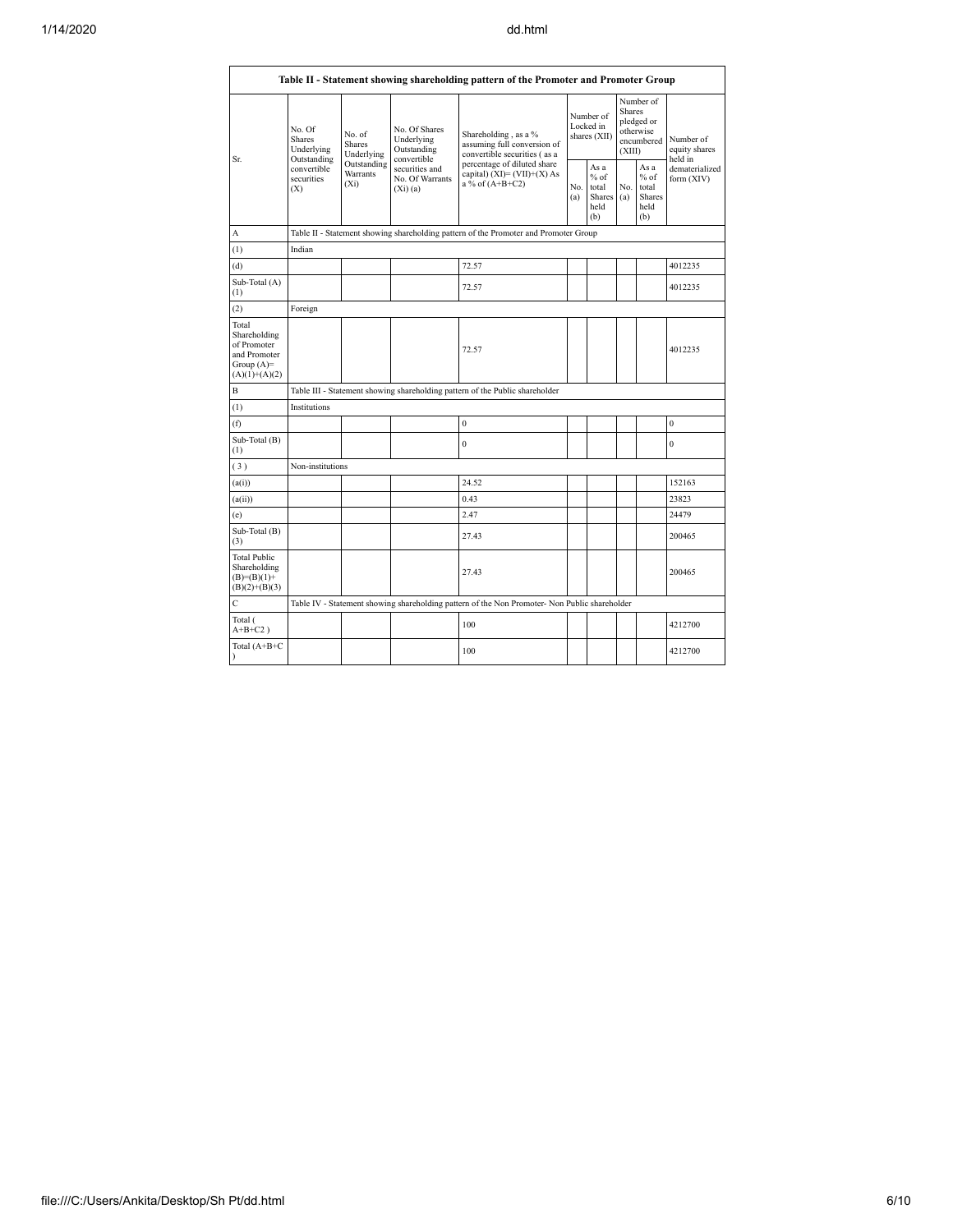|                                                                                         | Table II - Statement showing shareholding pattern of the Promoter and Promoter Group |                                                                                      |                                                           |                                                                                               |            |                                                  |                                                                               |                                                         |                                       |  |  |  |  |  |
|-----------------------------------------------------------------------------------------|--------------------------------------------------------------------------------------|--------------------------------------------------------------------------------------|-----------------------------------------------------------|-----------------------------------------------------------------------------------------------|------------|--------------------------------------------------|-------------------------------------------------------------------------------|---------------------------------------------------------|---------------------------------------|--|--|--|--|--|
| Sr.                                                                                     | No. Of<br>Shares<br>Underlying                                                       | No. of<br><b>Shares</b><br>Underlying                                                | No. Of Shares<br>Underlying<br>Outstanding<br>convertible | Shareholding, as a %<br>assuming full conversion of<br>convertible securities (as a           |            | Number of<br>Locked in<br>shares (XII)           | Number of<br><b>Shares</b><br>pledged or<br>otherwise<br>encumbered<br>(XIII) |                                                         | Number of<br>equity shares<br>held in |  |  |  |  |  |
|                                                                                         | Outstanding<br>convertible<br>securities<br>(X)                                      | Outstanding<br>Warrants<br>$(X_i)$                                                   | securities and<br>No. Of Warrants<br>$(X_i)$ $(a)$        | percentage of diluted share<br>capital) $(XI) = (VII)+(X) As$<br>a % of $(A+B+C2)$            | No.<br>(a) | As a<br>$%$ of<br>total<br>Shares<br>held<br>(b) | No.<br>(a)                                                                    | As a<br>$%$ of<br>total<br><b>Shares</b><br>held<br>(b) | dematerialized<br>form (XIV)          |  |  |  |  |  |
| A                                                                                       |                                                                                      | Table II - Statement showing shareholding pattern of the Promoter and Promoter Group |                                                           |                                                                                               |            |                                                  |                                                                               |                                                         |                                       |  |  |  |  |  |
| (1)                                                                                     | Indian                                                                               |                                                                                      |                                                           |                                                                                               |            |                                                  |                                                                               |                                                         |                                       |  |  |  |  |  |
| (d)                                                                                     |                                                                                      |                                                                                      |                                                           | 72.57                                                                                         |            |                                                  |                                                                               |                                                         | 4012235                               |  |  |  |  |  |
| Sub-Total (A)<br>(1)                                                                    |                                                                                      |                                                                                      |                                                           | 72.57                                                                                         |            |                                                  |                                                                               |                                                         | 4012235                               |  |  |  |  |  |
| (2)                                                                                     | Foreign                                                                              |                                                                                      |                                                           |                                                                                               |            |                                                  |                                                                               |                                                         |                                       |  |  |  |  |  |
| Total<br>Shareholding<br>of Promoter<br>and Promoter<br>Group $(A)=$<br>$(A)(1)+(A)(2)$ |                                                                                      |                                                                                      |                                                           | 72.57                                                                                         |            |                                                  |                                                                               |                                                         | 4012235                               |  |  |  |  |  |
| B                                                                                       |                                                                                      | Table III - Statement showing shareholding pattern of the Public shareholder         |                                                           |                                                                                               |            |                                                  |                                                                               |                                                         |                                       |  |  |  |  |  |
| (1)                                                                                     | Institutions                                                                         |                                                                                      |                                                           |                                                                                               |            |                                                  |                                                                               |                                                         |                                       |  |  |  |  |  |
| (f)                                                                                     |                                                                                      |                                                                                      |                                                           | $\mathbf{0}$                                                                                  |            |                                                  |                                                                               |                                                         | $\mathbf{0}$                          |  |  |  |  |  |
| Sub-Total (B)<br>(1)                                                                    |                                                                                      |                                                                                      |                                                           | $\mathbf{0}$                                                                                  |            |                                                  |                                                                               |                                                         | $\mathbf{0}$                          |  |  |  |  |  |
| (3)                                                                                     | Non-institutions                                                                     |                                                                                      |                                                           |                                                                                               |            |                                                  |                                                                               |                                                         |                                       |  |  |  |  |  |
| (a(i))                                                                                  |                                                                                      |                                                                                      |                                                           | 24.52                                                                                         |            |                                                  |                                                                               |                                                         | 152163                                |  |  |  |  |  |
| (a(ii))                                                                                 |                                                                                      |                                                                                      |                                                           | 0.43                                                                                          |            |                                                  |                                                                               |                                                         | 23823                                 |  |  |  |  |  |
| (e)                                                                                     |                                                                                      |                                                                                      |                                                           | 2.47                                                                                          |            |                                                  |                                                                               |                                                         | 24479                                 |  |  |  |  |  |
| Sub-Total (B)<br>(3)                                                                    |                                                                                      |                                                                                      |                                                           | 27.43                                                                                         |            |                                                  |                                                                               |                                                         | 200465                                |  |  |  |  |  |
| <b>Total Public</b><br>Shareholding<br>$(B)=(B)(1)+$<br>$(B)(2)+(B)(3)$                 |                                                                                      |                                                                                      |                                                           | 27.43                                                                                         |            |                                                  |                                                                               |                                                         | 200465                                |  |  |  |  |  |
| $\mathsf C$                                                                             |                                                                                      |                                                                                      |                                                           | Table IV - Statement showing shareholding pattern of the Non Promoter- Non Public shareholder |            |                                                  |                                                                               |                                                         |                                       |  |  |  |  |  |
| Total (<br>$A+B+C2$ )                                                                   |                                                                                      |                                                                                      |                                                           | 100                                                                                           |            |                                                  |                                                                               |                                                         | 4212700                               |  |  |  |  |  |
| Total $(A+B+C)$<br>$\lambda$                                                            |                                                                                      |                                                                                      |                                                           | 100                                                                                           |            |                                                  |                                                                               |                                                         | 4212700                               |  |  |  |  |  |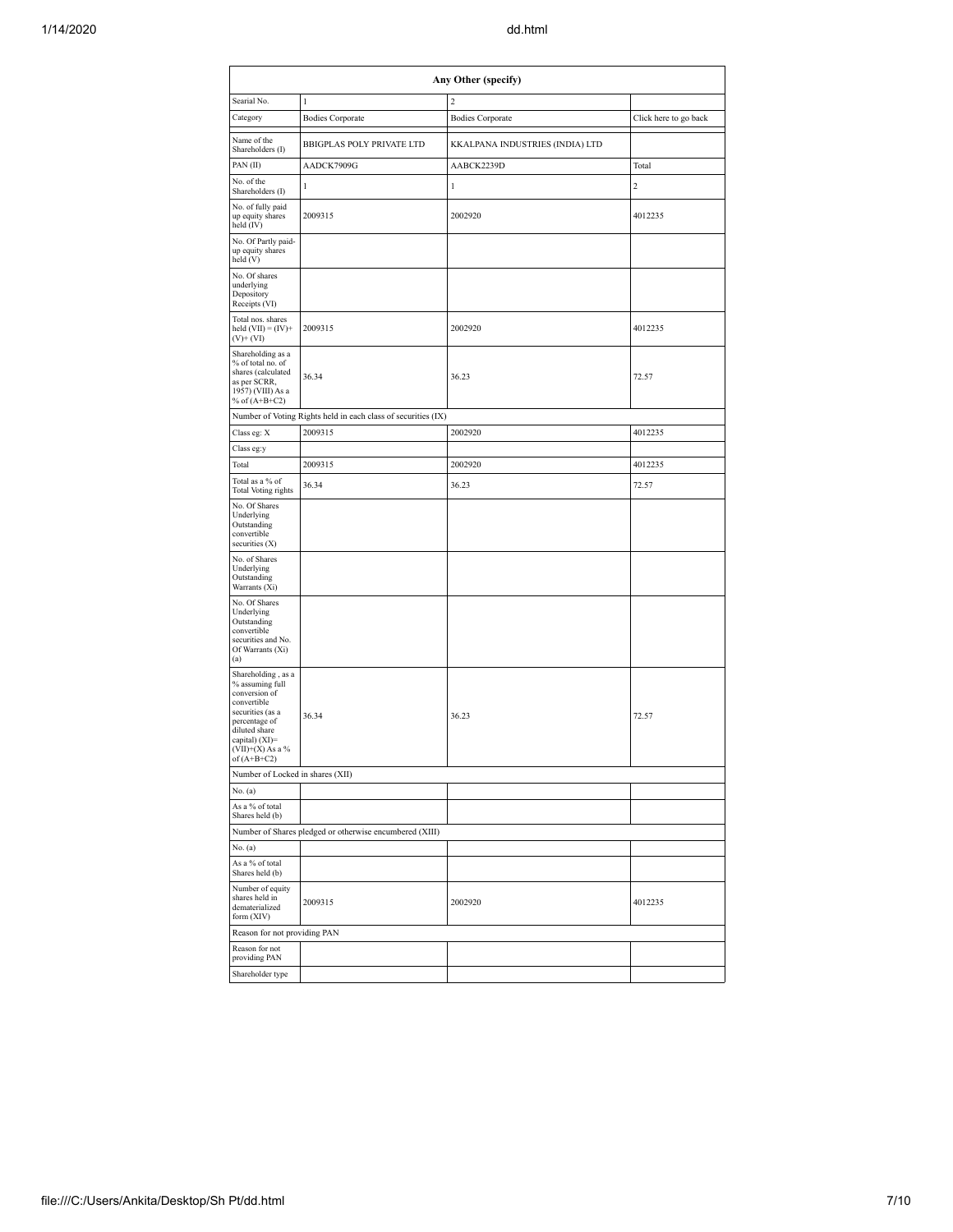| Any Other (specify)                                                                                                                                                                  |                                                               |                                 |                       |  |  |  |  |  |  |  |  |
|--------------------------------------------------------------------------------------------------------------------------------------------------------------------------------------|---------------------------------------------------------------|---------------------------------|-----------------------|--|--|--|--|--|--|--|--|
| Searial No.                                                                                                                                                                          | $\mathbf{l}$                                                  | $\overline{c}$                  |                       |  |  |  |  |  |  |  |  |
| Category                                                                                                                                                                             | <b>Bodies Corporate</b>                                       | <b>Bodies Corporate</b>         | Click here to go back |  |  |  |  |  |  |  |  |
| Name of the<br>Shareholders (I)                                                                                                                                                      | <b>BBIGPLAS POLY PRIVATE LTD</b>                              | KKALPANA INDUSTRIES (INDIA) LTD |                       |  |  |  |  |  |  |  |  |
| PAN(II)                                                                                                                                                                              | AADCK7909G                                                    | AABCK2239D                      | Total                 |  |  |  |  |  |  |  |  |
| No. of the<br>Shareholders (I)                                                                                                                                                       | 1                                                             | 1                               | $\overline{c}$        |  |  |  |  |  |  |  |  |
| No. of fully paid<br>up equity shares<br>held (IV)                                                                                                                                   | 2009315                                                       | 2002920                         | 4012235               |  |  |  |  |  |  |  |  |
| No. Of Partly paid-<br>up equity shares<br>held (V)                                                                                                                                  |                                                               |                                 |                       |  |  |  |  |  |  |  |  |
| No. Of shares<br>underlying<br>Depository<br>Receipts (VI)                                                                                                                           |                                                               |                                 |                       |  |  |  |  |  |  |  |  |
| Total nos. shares<br>held $(VII) = (IV) +$<br>$(V)+(VI)$                                                                                                                             | 2009315                                                       | 2002920                         | 4012235               |  |  |  |  |  |  |  |  |
| Shareholding as a<br>% of total no. of<br>shares (calculated<br>as per SCRR,<br>1957) (VIII) As a<br>% of $(A+B+C2)$                                                                 | 36.34                                                         | 36.23                           | 72.57                 |  |  |  |  |  |  |  |  |
|                                                                                                                                                                                      | Number of Voting Rights held in each class of securities (IX) |                                 |                       |  |  |  |  |  |  |  |  |
| Class eg: X                                                                                                                                                                          | 2009315                                                       | 2002920                         | 4012235               |  |  |  |  |  |  |  |  |
| Class eg:y                                                                                                                                                                           |                                                               |                                 |                       |  |  |  |  |  |  |  |  |
| Total                                                                                                                                                                                | 2009315                                                       | 2002920                         | 4012235               |  |  |  |  |  |  |  |  |
| Total as a % of<br>Total Voting rights                                                                                                                                               | 36.34                                                         | 36.23                           | 72.57                 |  |  |  |  |  |  |  |  |
| No. Of Shares<br>Underlying<br>Outstanding<br>convertible<br>securities $(X)$                                                                                                        |                                                               |                                 |                       |  |  |  |  |  |  |  |  |
| No. of Shares<br>Underlying<br>Outstanding<br>Warrants (Xi)                                                                                                                          |                                                               |                                 |                       |  |  |  |  |  |  |  |  |
| No. Of Shares<br>Underlying<br>Outstanding<br>convertible<br>securities and No.<br>Of Warrants (Xi)<br>(a)                                                                           |                                                               |                                 |                       |  |  |  |  |  |  |  |  |
| Shareholding, as a<br>% assuming full<br>conversion of<br>convertible<br>securities (as a<br>percentage of<br>diluted share<br>capital) (XI)=<br>$(VII)+(X)$ As a %<br>of $(A+B+C2)$ | 36.34                                                         | 36.23                           | 72.57                 |  |  |  |  |  |  |  |  |
| Number of Locked in shares (XII)                                                                                                                                                     |                                                               |                                 |                       |  |  |  |  |  |  |  |  |
| No. (a)                                                                                                                                                                              |                                                               |                                 |                       |  |  |  |  |  |  |  |  |
| As a % of total<br>Shares held (b)                                                                                                                                                   |                                                               |                                 |                       |  |  |  |  |  |  |  |  |
|                                                                                                                                                                                      | Number of Shares pledged or otherwise encumbered (XIII)       |                                 |                       |  |  |  |  |  |  |  |  |
| No. (a)                                                                                                                                                                              |                                                               |                                 |                       |  |  |  |  |  |  |  |  |
| As a % of total<br>Shares held (b)                                                                                                                                                   |                                                               |                                 |                       |  |  |  |  |  |  |  |  |
| Number of equity<br>shares held in<br>dematerialized<br>form (XIV)                                                                                                                   | 2009315                                                       | 2002920                         | 4012235               |  |  |  |  |  |  |  |  |
| Reason for not providing PAN                                                                                                                                                         |                                                               |                                 |                       |  |  |  |  |  |  |  |  |
| Reason for not<br>providing PAN                                                                                                                                                      |                                                               |                                 |                       |  |  |  |  |  |  |  |  |
| Shareholder type                                                                                                                                                                     |                                                               |                                 |                       |  |  |  |  |  |  |  |  |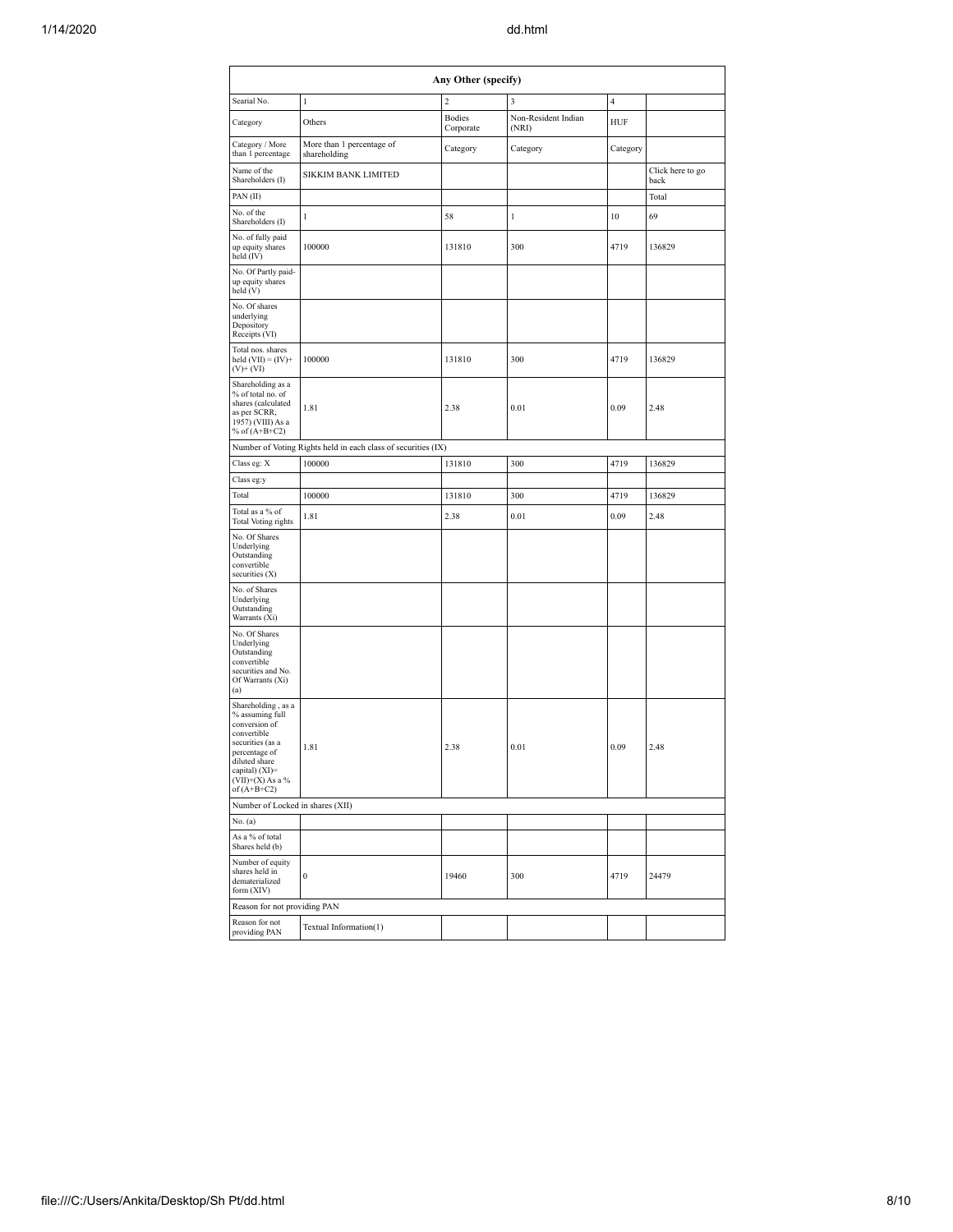|                                                                                                                                                                                      | Any Other (specify)                                           |                            |                              |          |                          |  |  |  |  |  |  |  |  |  |
|--------------------------------------------------------------------------------------------------------------------------------------------------------------------------------------|---------------------------------------------------------------|----------------------------|------------------------------|----------|--------------------------|--|--|--|--|--|--|--|--|--|
| Searial No.                                                                                                                                                                          | 1                                                             | 2                          | 3                            | 4        |                          |  |  |  |  |  |  |  |  |  |
| Category                                                                                                                                                                             | Others                                                        | <b>Bodies</b><br>Corporate | Non-Resident Indian<br>(NRI) | HUF      |                          |  |  |  |  |  |  |  |  |  |
| Category / More<br>than 1 percentage                                                                                                                                                 | More than 1 percentage of<br>shareholding                     | Category                   | Category                     | Category |                          |  |  |  |  |  |  |  |  |  |
| Name of the<br>Shareholders (I)                                                                                                                                                      | SIKKIM BANK LIMITED                                           |                            |                              |          | Click here to go<br>back |  |  |  |  |  |  |  |  |  |
| PAN (II)                                                                                                                                                                             |                                                               |                            |                              |          | Total                    |  |  |  |  |  |  |  |  |  |
| No. of the<br>Shareholders (I)                                                                                                                                                       | 1                                                             | 58                         | 1                            | 10       | 69                       |  |  |  |  |  |  |  |  |  |
| No. of fully paid<br>up equity shares<br>held (IV)                                                                                                                                   | 100000                                                        | 131810                     | 300                          | 4719     | 136829                   |  |  |  |  |  |  |  |  |  |
| No. Of Partly paid-<br>up equity shares<br>held (V)                                                                                                                                  |                                                               |                            |                              |          |                          |  |  |  |  |  |  |  |  |  |
| No. Of shares<br>underlying<br>Depository<br>Receipts (VI)                                                                                                                           |                                                               |                            |                              |          |                          |  |  |  |  |  |  |  |  |  |
| Total nos. shares<br>held $(VII) = (IV) +$<br>$(V)+(VI)$                                                                                                                             | 100000                                                        | 131810                     | 300                          | 4719     | 136829                   |  |  |  |  |  |  |  |  |  |
| Shareholding as a<br>% of total no. of<br>shares (calculated<br>as per SCRR,<br>1957) (VIII) As a<br>% of $(A+B+C2)$                                                                 | 1.81                                                          | 2.38                       | 0.01                         | 0.09     | 2.48                     |  |  |  |  |  |  |  |  |  |
|                                                                                                                                                                                      | Number of Voting Rights held in each class of securities (IX) |                            |                              |          |                          |  |  |  |  |  |  |  |  |  |
| Class eg: X                                                                                                                                                                          | 100000                                                        | 131810                     | 300                          | 4719     | 136829                   |  |  |  |  |  |  |  |  |  |
| Class eg:y                                                                                                                                                                           |                                                               |                            |                              |          |                          |  |  |  |  |  |  |  |  |  |
| Total                                                                                                                                                                                | 100000                                                        | 131810                     | 300                          | 4719     | 136829                   |  |  |  |  |  |  |  |  |  |
| Total as a % of<br>Total Voting rights                                                                                                                                               | 1.81                                                          | 2.38                       | 0.01                         | 0.09     | 2.48                     |  |  |  |  |  |  |  |  |  |
| No. Of Shares<br>Underlying<br>Outstanding<br>convertible<br>securities (X)                                                                                                          |                                                               |                            |                              |          |                          |  |  |  |  |  |  |  |  |  |
| No. of Shares<br>Underlying<br>Outstanding<br>Warrants (Xi)                                                                                                                          |                                                               |                            |                              |          |                          |  |  |  |  |  |  |  |  |  |
| No. Of Shares<br>Underlying<br>Outstanding<br>convertible<br>securities and No.<br>Of Warrants (Xi)<br>(a)                                                                           |                                                               |                            |                              |          |                          |  |  |  |  |  |  |  |  |  |
| Shareholding, as a<br>% assuming full<br>conversion of<br>convertible<br>securities (as a<br>percentage of<br>diluted share<br>capital) (XI)=<br>$(VII)+(X)$ As a %<br>of $(A+B+C2)$ | 1.81                                                          | 2.38                       | 0.01                         | 0.09     | 2.48                     |  |  |  |  |  |  |  |  |  |
| Number of Locked in shares (XII)                                                                                                                                                     |                                                               |                            |                              |          |                          |  |  |  |  |  |  |  |  |  |
| No. (a)                                                                                                                                                                              |                                                               |                            |                              |          |                          |  |  |  |  |  |  |  |  |  |
| As a % of total<br>Shares held (b)                                                                                                                                                   |                                                               |                            |                              |          |                          |  |  |  |  |  |  |  |  |  |
| Number of equity<br>shares held in<br>dematerialized<br>form (XIV)                                                                                                                   | 0                                                             | 19460                      | 300                          | 4719     | 24479                    |  |  |  |  |  |  |  |  |  |
| Reason for not providing PAN                                                                                                                                                         |                                                               |                            |                              |          |                          |  |  |  |  |  |  |  |  |  |
| Reason for not<br>providing PAN                                                                                                                                                      | Textual Information(1)                                        |                            |                              |          |                          |  |  |  |  |  |  |  |  |  |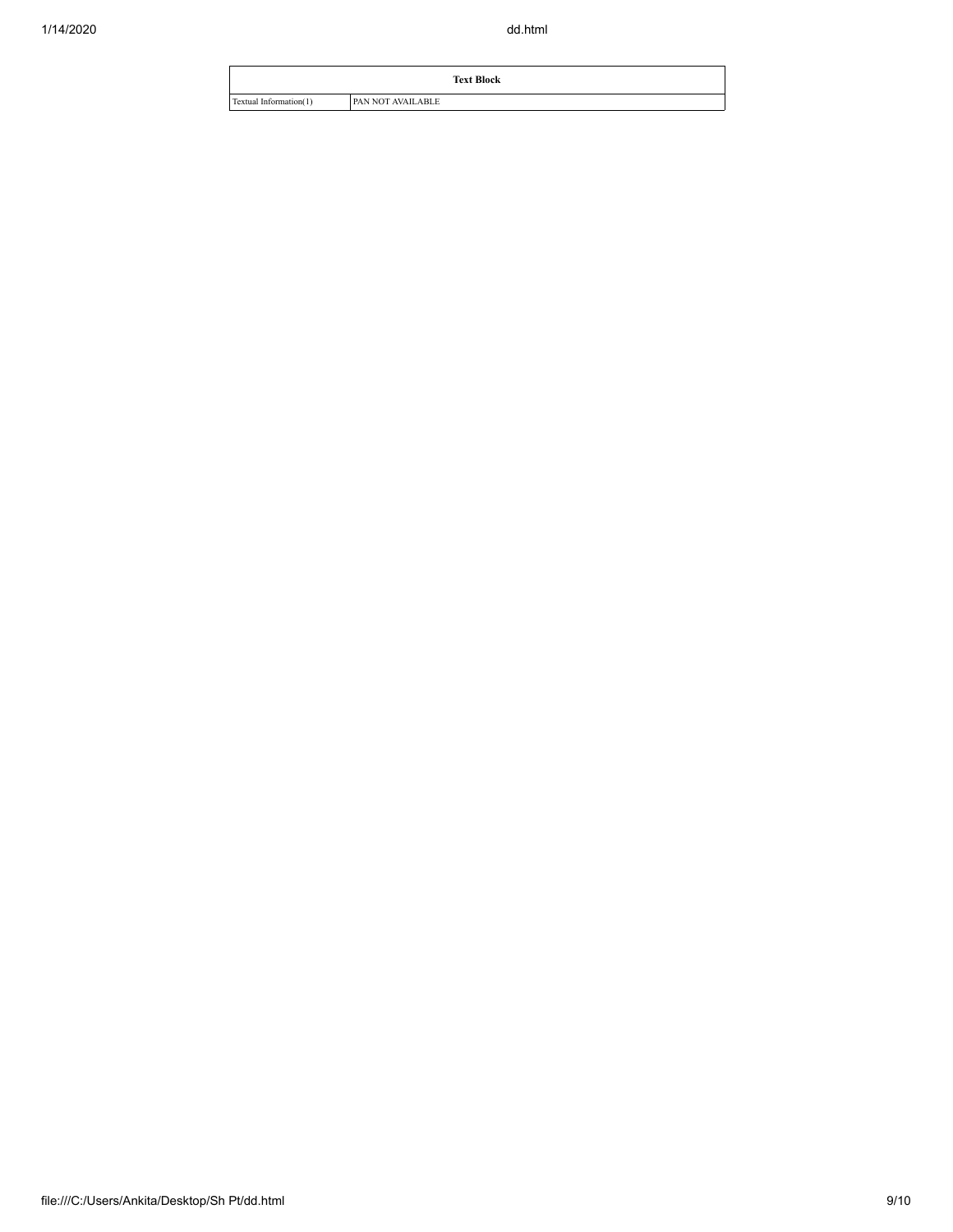|                        | <b>Text Block</b> |
|------------------------|-------------------|
| Textual Information(1) | PAN NOT AVAILABLE |